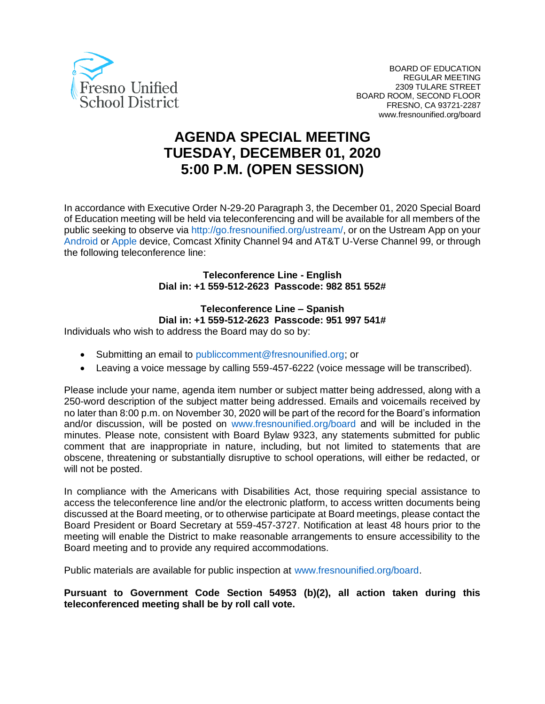

# **AGENDA SPECIAL MEETING TUESDAY, DECEMBER 01, 2020 5:00 P.M. (OPEN SESSION)**

In accordance with Executive Order N-29-20 Paragraph 3, the December 01, 2020 Special Board of Education meeting will be held via teleconferencing and will be available for all members of the public seeking to observe via http://go.fresnounified.org/ustream/, or on the Ustream App on your Android or Apple device, Comcast Xfinity Channel 94 and AT&T U-Verse Channel 99, or through the following teleconference line:

> **Teleconference Line - English Dial in: +1 559-512-2623 Passcode: 982 851 552#**

> > **Teleconference Line – Spanish**

**Dial in: +1 559-512-2623 Passcode: 951 997 541#**

Individuals who wish to address the Board may do so by:

- Submitting an email to publiccomment@fresnounified.org; or
- Leaving a voice message by calling 559-457-6222 (voice message will be transcribed).

Please include your name, agenda item number or subject matter being addressed, along with a 250-word description of the subject matter being addressed. Emails and voicemails received by no later than 8:00 p.m. on November 30, 2020 will be part of the record for the Board's information and/or discussion, will be posted on www.fresnounified.org/board and will be included in the minutes. Please note, consistent with Board Bylaw 9323, any statements submitted for public comment that are inappropriate in nature, including, but not limited to statements that are obscene, threatening or substantially disruptive to school operations, will either be redacted, or will not be posted.

In compliance with the Americans with Disabilities Act, those requiring special assistance to access the teleconference line and/or the electronic platform, to access written documents being discussed at the Board meeting, or to otherwise participate at Board meetings, please contact the Board President or Board Secretary at 559-457-3727. Notification at least 48 hours prior to the meeting will enable the District to make reasonable arrangements to ensure accessibility to the Board meeting and to provide any required accommodations.

Public materials are available for public inspection at www.fresnounified.org/board.

**Pursuant to Government Code Section 54953 (b)(2), all action taken during this teleconferenced meeting shall be by roll call vote.**